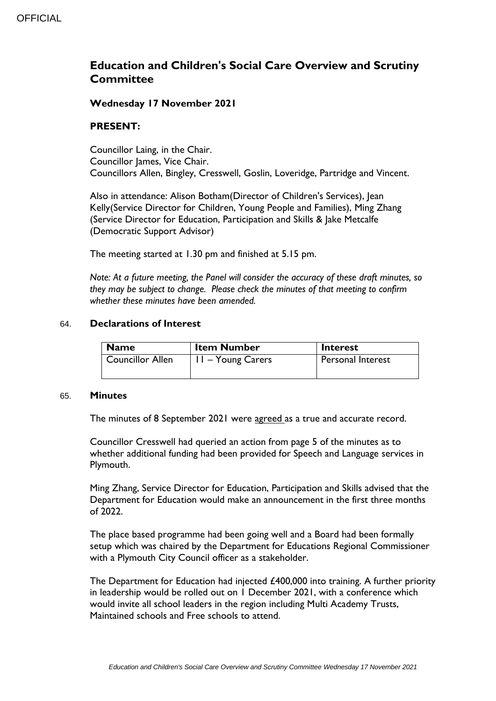# **Education and Children's Social Care Overview and Scrutiny Committee**

### **Wednesday 17 November 2021**

### **PRESENT:**

Councillor Laing, in the Chair. Councillor James, Vice Chair. Councillors Allen, Bingley, Cresswell, Goslin, Loveridge, Partridge and Vincent.

Also in attendance: Alison Botham(Director of Children's Services), Jean Kelly(Service Director for Children, Young People and Families), Ming Zhang (Service Director for Education, Participation and Skills & Jake Metcalfe (Democratic Support Advisor)

The meeting started at 1.30 pm and finished at 5.15 pm.

*Note: At a future meeting, the Panel will consider the accuracy of these draft minutes, so they may be subject to change. Please check the minutes of that meeting to confirm whether these minutes have been amended.*

#### 64. **Declarations of Interest**

| <b>Name</b>             | <b>Item Number</b> | Interest                 |
|-------------------------|--------------------|--------------------------|
| <b>Councillor Allen</b> | 11 – Young Carers  | <b>Personal Interest</b> |
|                         |                    |                          |

#### 65. **Minutes**

The minutes of 8 September 2021 were agreed as a true and accurate record.

Councillor Cresswell had queried an action from page 5 of the minutes as to whether additional funding had been provided for Speech and Language services in Plymouth.

Ming Zhang, Service Director for Education, Participation and Skills advised that the Department for Education would make an announcement in the first three months of 2022.

The place based programme had been going well and a Board had been formally setup which was chaired by the Department for Educations Regional Commissioner with a Plymouth City Council officer as a stakeholder.

The Department for Education had injected £400,000 into training. A further priority in leadership would be rolled out on 1 December 2021, with a conference which would invite all school leaders in the region including Multi Academy Trusts, Maintained schools and Free schools to attend.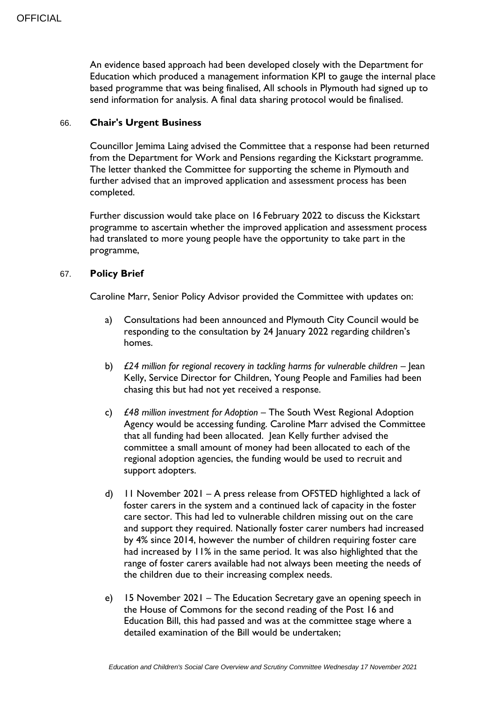An evidence based approach had been developed closely with the Department for Education which produced a management information KPI to gauge the internal place based programme that was being finalised, All schools in Plymouth had signed up to send information for analysis. A final data sharing protocol would be finalised.

### 66. **Chair's Urgent Business**

Councillor Jemima Laing advised the Committee that a response had been returned from the Department for Work and Pensions regarding the Kickstart programme. The letter thanked the Committee for supporting the scheme in Plymouth and further advised that an improved application and assessment process has been completed.

Further discussion would take place on 16 February 2022 to discuss the Kickstart programme to ascertain whether the improved application and assessment process had translated to more young people have the opportunity to take part in the programme,

### 67. **Policy Brief**

Caroline Marr, Senior Policy Advisor provided the Committee with updates on:

- a) Consultations had been announced and Plymouth City Council would be responding to the consultation by 24 January 2022 regarding children's homes.
- b) *£24 million for regional recovery in tackling harms for vulnerable children Jean* Kelly, Service Director for Children, Young People and Families had been chasing this but had not yet received a response.
- c) *£48 million investment for Adoption*  The South West Regional Adoption Agency would be accessing funding. Caroline Marr advised the Committee that all funding had been allocated. Jean Kelly further advised the committee a small amount of money had been allocated to each of the regional adoption agencies, the funding would be used to recruit and support adopters.
- d) 11 November 2021 A press release from OFSTED highlighted a lack of foster carers in the system and a continued lack of capacity in the foster care sector. This had led to vulnerable children missing out on the care and support they required. Nationally foster carer numbers had increased by 4% since 2014, however the number of children requiring foster care had increased by 11% in the same period. It was also highlighted that the range of foster carers available had not always been meeting the needs of the children due to their increasing complex needs.
- e) 15 November 2021 The Education Secretary gave an opening speech in the House of Commons for the second reading of the Post 16 and Education Bill, this had passed and was at the committee stage where a detailed examination of the Bill would be undertaken;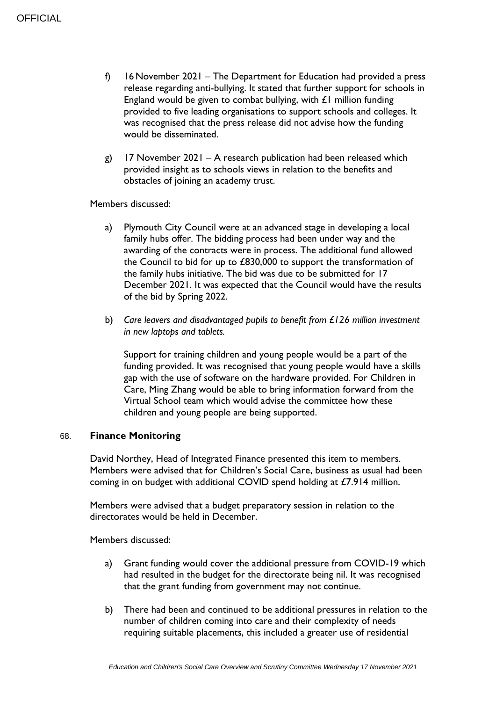- f) 16 November 2021 The Department for Education had provided a press release regarding anti-bullying. It stated that further support for schools in England would be given to combat bullying, with  $\mathcal L$  million funding provided to five leading organisations to support schools and colleges. It was recognised that the press release did not advise how the funding would be disseminated.
- g) 17 November 2021 A research publication had been released which provided insight as to schools views in relation to the benefits and obstacles of joining an academy trust.

Members discussed:

- a) Plymouth City Council were at an advanced stage in developing a local family hubs offer. The bidding process had been under way and the awarding of the contracts were in process. The additional fund allowed the Council to bid for up to £830,000 to support the transformation of the family hubs initiative. The bid was due to be submitted for 17 December 2021. It was expected that the Council would have the results of the bid by Spring 2022.
- b) *Care leavers and disadvantaged pupils to benefit from £126 million investment in new laptops and tablets.*

Support for training children and young people would be a part of the funding provided. It was recognised that young people would have a skills gap with the use of software on the hardware provided. For Children in Care, Ming Zhang would be able to bring information forward from the Virtual School team which would advise the committee how these children and young people are being supported.

### 68. **Finance Monitoring**

David Northey, Head of Integrated Finance presented this item to members. Members were advised that for Children's Social Care, business as usual had been coming in on budget with additional COVID spend holding at £7.914 million.

Members were advised that a budget preparatory session in relation to the directorates would be held in December.

Members discussed:

- a) Grant funding would cover the additional pressure from COVID-19 which had resulted in the budget for the directorate being nil. It was recognised that the grant funding from government may not continue.
- b) There had been and continued to be additional pressures in relation to the number of children coming into care and their complexity of needs requiring suitable placements, this included a greater use of residential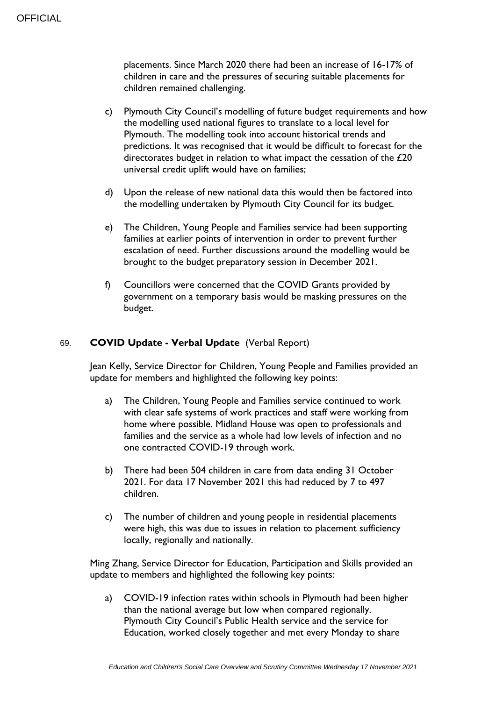placements. Since March 2020 there had been an increase of 16-17% of children in care and the pressures of securing suitable placements for children remained challenging.

- c) Plymouth City Council's modelling of future budget requirements and how the modelling used national figures to translate to a local level for Plymouth. The modelling took into account historical trends and predictions. It was recognised that it would be difficult to forecast for the directorates budget in relation to what impact the cessation of the £20 universal credit uplift would have on families;
- d) Upon the release of new national data this would then be factored into the modelling undertaken by Plymouth City Council for its budget.
- e) The Children, Young People and Families service had been supporting families at earlier points of intervention in order to prevent further escalation of need. Further discussions around the modelling would be brought to the budget preparatory session in December 2021.
- f) Councillors were concerned that the COVID Grants provided by government on a temporary basis would be masking pressures on the budget.

# 69. **COVID Update - Verbal Update** (Verbal Report)

Jean Kelly, Service Director for Children, Young People and Families provided an update for members and highlighted the following key points:

- a) The Children, Young People and Families service continued to work with clear safe systems of work practices and staff were working from home where possible. Midland House was open to professionals and families and the service as a whole had low levels of infection and no one contracted COVID-19 through work.
- b) There had been 504 children in care from data ending 31 October 2021. For data 17 November 2021 this had reduced by 7 to 497 children.
- c) The number of children and young people in residential placements were high, this was due to issues in relation to placement sufficiency locally, regionally and nationally.

Ming Zhang, Service Director for Education, Participation and Skills provided an update to members and highlighted the following key points:

a) COVID-19 infection rates within schools in Plymouth had been higher than the national average but low when compared regionally. Plymouth City Council's Public Health service and the service for Education, worked closely together and met every Monday to share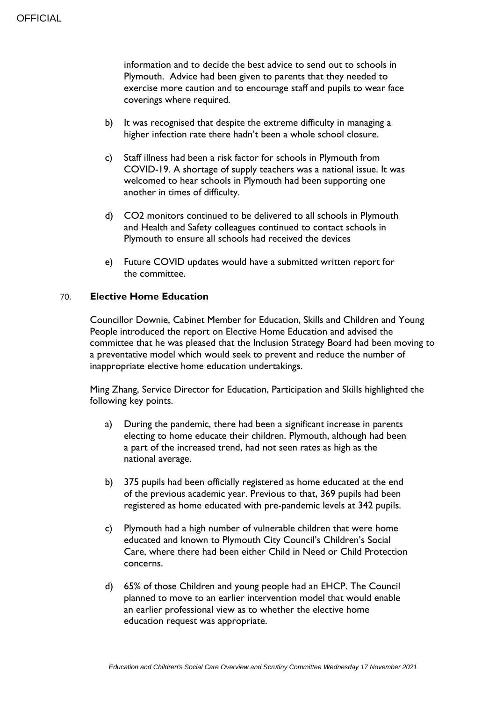information and to decide the best advice to send out to schools in Plymouth. Advice had been given to parents that they needed to exercise more caution and to encourage staff and pupils to wear face coverings where required.

- b) It was recognised that despite the extreme difficulty in managing a higher infection rate there hadn't been a whole school closure.
- c) Staff illness had been a risk factor for schools in Plymouth from COVID-19. A shortage of supply teachers was a national issue. It was welcomed to hear schools in Plymouth had been supporting one another in times of difficulty.
- d) CO2 monitors continued to be delivered to all schools in Plymouth and Health and Safety colleagues continued to contact schools in Plymouth to ensure all schools had received the devices
- e) Future COVID updates would have a submitted written report for the committee.

### 70. **Elective Home Education**

Councillor Downie, Cabinet Member for Education, Skills and Children and Young People introduced the report on Elective Home Education and advised the committee that he was pleased that the Inclusion Strategy Board had been moving to a preventative model which would seek to prevent and reduce the number of inappropriate elective home education undertakings.

Ming Zhang, Service Director for Education, Participation and Skills highlighted the following key points.

- a) During the pandemic, there had been a significant increase in parents electing to home educate their children. Plymouth, although had been a part of the increased trend, had not seen rates as high as the national average.
- b) 375 pupils had been officially registered as home educated at the end of the previous academic year. Previous to that, 369 pupils had been registered as home educated with pre-pandemic levels at 342 pupils.
- c) Plymouth had a high number of vulnerable children that were home educated and known to Plymouth City Council's Children's Social Care, where there had been either Child in Need or Child Protection concerns.
- d) 65% of those Children and young people had an EHCP. The Council planned to move to an earlier intervention model that would enable an earlier professional view as to whether the elective home education request was appropriate.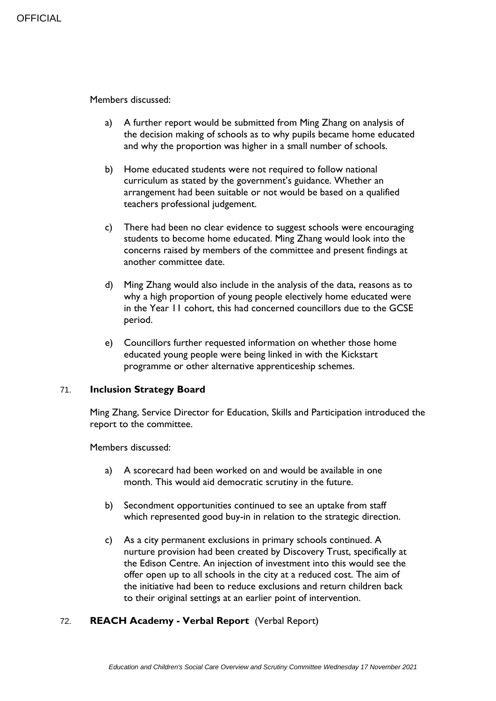Members discussed:

- a) A further report would be submitted from Ming Zhang on analysis of the decision making of schools as to why pupils became home educated and why the proportion was higher in a small number of schools.
- b) Home educated students were not required to follow national curriculum as stated by the government's guidance. Whether an arrangement had been suitable or not would be based on a qualified teachers professional judgement.
- c) There had been no clear evidence to suggest schools were encouraging students to become home educated. Ming Zhang would look into the concerns raised by members of the committee and present findings at another committee date.
- d) Ming Zhang would also include in the analysis of the data, reasons as to why a high proportion of young people electively home educated were in the Year 11 cohort, this had concerned councillors due to the GCSE period.
- e) Councillors further requested information on whether those home educated young people were being linked in with the Kickstart programme or other alternative apprenticeship schemes.

# 71. **Inclusion Strategy Board**

Ming Zhang, Service Director for Education, Skills and Participation introduced the report to the committee.

Members discussed:

- a) A scorecard had been worked on and would be available in one month. This would aid democratic scrutiny in the future.
- b) Secondment opportunities continued to see an uptake from staff which represented good buy-in in relation to the strategic direction.
- c) As a city permanent exclusions in primary schools continued. A nurture provision had been created by Discovery Trust, specifically at the Edison Centre. An injection of investment into this would see the offer open up to all schools in the city at a reduced cost. The aim of the initiative had been to reduce exclusions and return children back to their original settings at an earlier point of intervention.

# 72. **REACH Academy - Verbal Report** (Verbal Report)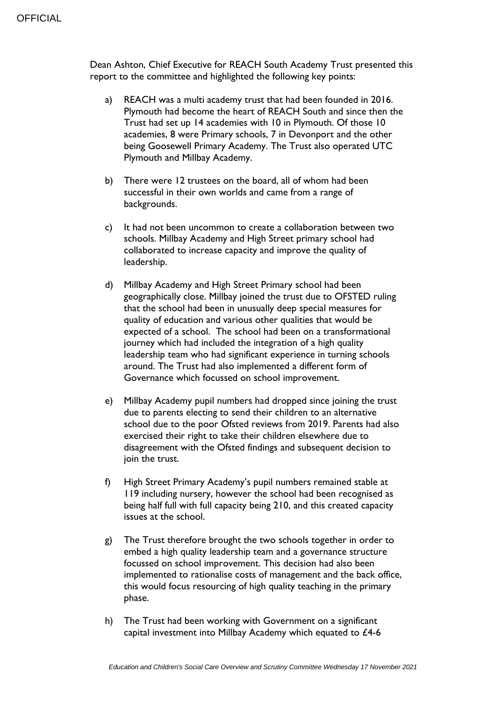Dean Ashton, Chief Executive for REACH South Academy Trust presented this report to the committee and highlighted the following key points:

- a) REACH was a multi academy trust that had been founded in 2016. Plymouth had become the heart of REACH South and since then the Trust had set up 14 academies with 10 in Plymouth. Of those 10 academies, 8 were Primary schools, 7 in Devonport and the other being Goosewell Primary Academy. The Trust also operated UTC Plymouth and Millbay Academy.
- b) There were 12 trustees on the board, all of whom had been successful in their own worlds and came from a range of backgrounds.
- c) It had not been uncommon to create a collaboration between two schools. Millbay Academy and High Street primary school had collaborated to increase capacity and improve the quality of leadership.
- d) Millbay Academy and High Street Primary school had been geographically close. Millbay joined the trust due to OFSTED ruling that the school had been in unusually deep special measures for quality of education and various other qualities that would be expected of a school. The school had been on a transformational journey which had included the integration of a high quality leadership team who had significant experience in turning schools around. The Trust had also implemented a different form of Governance which focussed on school improvement.
- e) Millbay Academy pupil numbers had dropped since joining the trust due to parents electing to send their children to an alternative school due to the poor Ofsted reviews from 2019. Parents had also exercised their right to take their children elsewhere due to disagreement with the Ofsted findings and subsequent decision to join the trust.
- f) High Street Primary Academy's pupil numbers remained stable at 119 including nursery, however the school had been recognised as being half full with full capacity being 210, and this created capacity issues at the school.
- g) The Trust therefore brought the two schools together in order to embed a high quality leadership team and a governance structure focussed on school improvement. This decision had also been implemented to rationalise costs of management and the back office, this would focus resourcing of high quality teaching in the primary phase.
- h) The Trust had been working with Government on a significant capital investment into Millbay Academy which equated to £4-6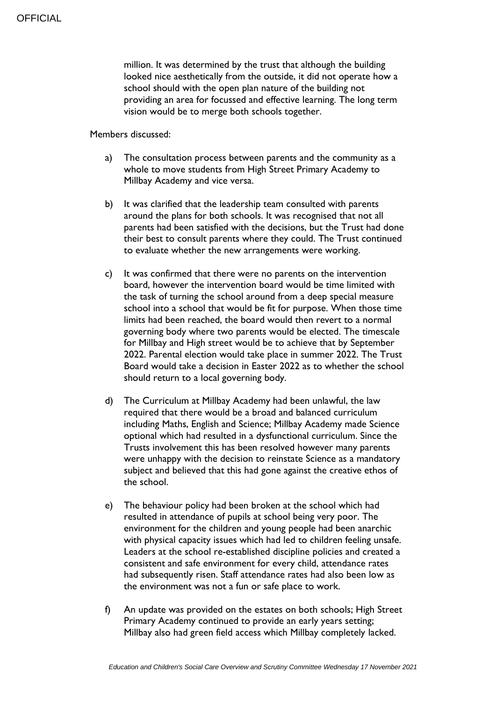million. It was determined by the trust that although the building looked nice aesthetically from the outside, it did not operate how a school should with the open plan nature of the building not providing an area for focussed and effective learning. The long term vision would be to merge both schools together.

Members discussed:

- a) The consultation process between parents and the community as a whole to move students from High Street Primary Academy to Millbay Academy and vice versa.
- b) It was clarified that the leadership team consulted with parents around the plans for both schools. It was recognised that not all parents had been satisfied with the decisions, but the Trust had done their best to consult parents where they could. The Trust continued to evaluate whether the new arrangements were working.
- c) It was confirmed that there were no parents on the intervention board, however the intervention board would be time limited with the task of turning the school around from a deep special measure school into a school that would be fit for purpose. When those time limits had been reached, the board would then revert to a normal governing body where two parents would be elected. The timescale for Millbay and High street would be to achieve that by September 2022. Parental election would take place in summer 2022. The Trust Board would take a decision in Easter 2022 as to whether the school should return to a local governing body.
- d) The Curriculum at Millbay Academy had been unlawful, the law required that there would be a broad and balanced curriculum including Maths, English and Science; Millbay Academy made Science optional which had resulted in a dysfunctional curriculum. Since the Trusts involvement this has been resolved however many parents were unhappy with the decision to reinstate Science as a mandatory subject and believed that this had gone against the creative ethos of the school.
- e) The behaviour policy had been broken at the school which had resulted in attendance of pupils at school being very poor. The environment for the children and young people had been anarchic with physical capacity issues which had led to children feeling unsafe. Leaders at the school re-established discipline policies and created a consistent and safe environment for every child, attendance rates had subsequently risen. Staff attendance rates had also been low as the environment was not a fun or safe place to work.
- f) An update was provided on the estates on both schools; High Street Primary Academy continued to provide an early years setting; Millbay also had green field access which Millbay completely lacked.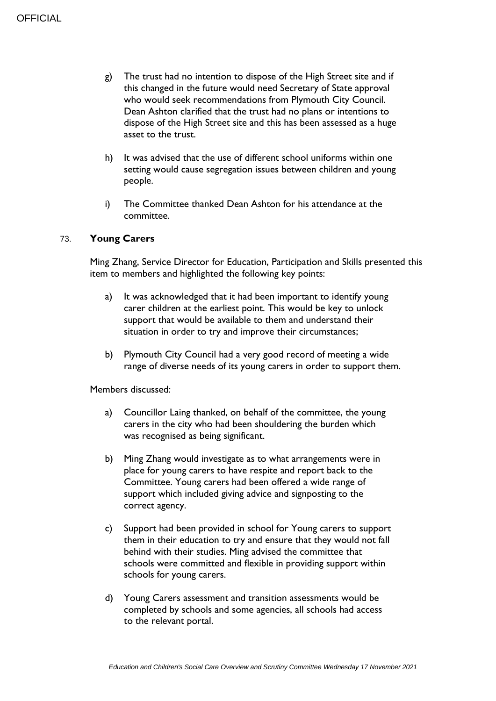- g) The trust had no intention to dispose of the High Street site and if this changed in the future would need Secretary of State approval who would seek recommendations from Plymouth City Council. Dean Ashton clarified that the trust had no plans or intentions to dispose of the High Street site and this has been assessed as a huge asset to the trust.
- h) It was advised that the use of different school uniforms within one setting would cause segregation issues between children and young people.
- i) The Committee thanked Dean Ashton for his attendance at the committee.

### 73. **Young Carers**

Ming Zhang, Service Director for Education, Participation and Skills presented this item to members and highlighted the following key points:

- a) It was acknowledged that it had been important to identify young carer children at the earliest point. This would be key to unlock support that would be available to them and understand their situation in order to try and improve their circumstances;
- b) Plymouth City Council had a very good record of meeting a wide range of diverse needs of its young carers in order to support them.

Members discussed:

- a) Councillor Laing thanked, on behalf of the committee, the young carers in the city who had been shouldering the burden which was recognised as being significant.
- b) Ming Zhang would investigate as to what arrangements were in place for young carers to have respite and report back to the Committee. Young carers had been offered a wide range of support which included giving advice and signposting to the correct agency.
- c) Support had been provided in school for Young carers to support them in their education to try and ensure that they would not fall behind with their studies. Ming advised the committee that schools were committed and flexible in providing support within schools for young carers.
- d) Young Carers assessment and transition assessments would be completed by schools and some agencies, all schools had access to the relevant portal.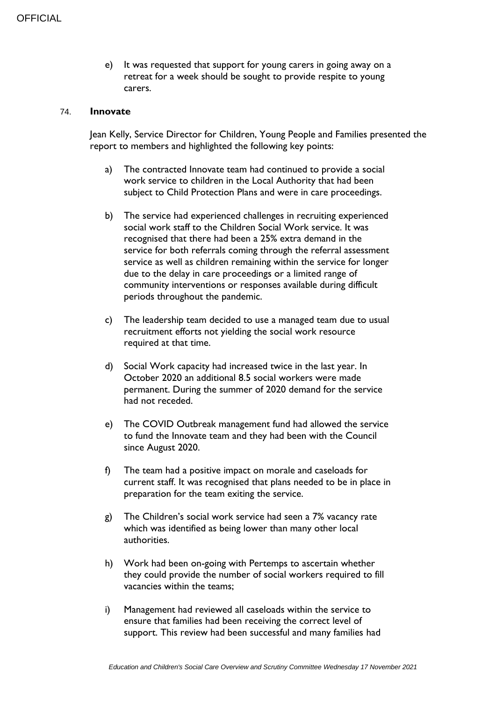e) It was requested that support for young carers in going away on a retreat for a week should be sought to provide respite to young carers.

#### 74. **Innovate**

Jean Kelly, Service Director for Children, Young People and Families presented the report to members and highlighted the following key points:

- a) The contracted Innovate team had continued to provide a social work service to children in the Local Authority that had been subject to Child Protection Plans and were in care proceedings.
- b) The service had experienced challenges in recruiting experienced social work staff to the Children Social Work service. It was recognised that there had been a 25% extra demand in the service for both referrals coming through the referral assessment service as well as children remaining within the service for longer due to the delay in care proceedings or a limited range of community interventions or responses available during difficult periods throughout the pandemic.
- c) The leadership team decided to use a managed team due to usual recruitment efforts not yielding the social work resource required at that time.
- d) Social Work capacity had increased twice in the last year. In October 2020 an additional 8.5 social workers were made permanent. During the summer of 2020 demand for the service had not receded.
- e) The COVID Outbreak management fund had allowed the service to fund the Innovate team and they had been with the Council since August 2020.
- f) The team had a positive impact on morale and caseloads for current staff. It was recognised that plans needed to be in place in preparation for the team exiting the service.
- g) The Children's social work service had seen a 7% vacancy rate which was identified as being lower than many other local authorities.
- h) Work had been on-going with Pertemps to ascertain whether they could provide the number of social workers required to fill vacancies within the teams;
- i) Management had reviewed all caseloads within the service to ensure that families had been receiving the correct level of support. This review had been successful and many families had